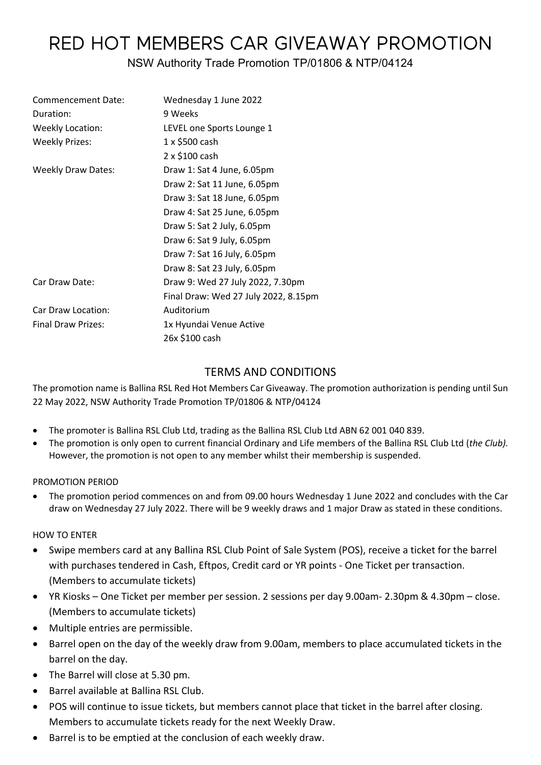# RED HOT MEMBERS CAR GIVEAWAY PROMOTION

# NSW Authority Trade Promotion TP/01806 & NTP/04124

| Commencement Date:        | Wednesday 1 June 2022                |  |
|---------------------------|--------------------------------------|--|
| Duration:                 | 9 Weeks                              |  |
| <b>Weekly Location:</b>   | LEVEL one Sports Lounge 1            |  |
| <b>Weekly Prizes:</b>     | 1 x \$500 cash                       |  |
|                           | 2 x \$100 cash                       |  |
| <b>Weekly Draw Dates:</b> | Draw 1: Sat 4 June, 6.05pm           |  |
|                           | Draw 2: Sat 11 June, 6.05pm          |  |
|                           | Draw 3: Sat 18 June, 6.05pm          |  |
|                           | Draw 4: Sat 25 June, 6.05pm          |  |
|                           | Draw 5: Sat 2 July, 6.05pm           |  |
|                           | Draw 6: Sat 9 July, 6.05pm           |  |
|                           | Draw 7: Sat 16 July, 6.05pm          |  |
|                           | Draw 8: Sat 23 July, 6.05pm          |  |
| Car Draw Date:            | Draw 9: Wed 27 July 2022, 7.30pm     |  |
|                           | Final Draw: Wed 27 July 2022, 8.15pm |  |
| Car Draw Location:        | Auditorium                           |  |
| <b>Final Draw Prizes:</b> | 1x Hyundai Venue Active              |  |
|                           | 26x \$100 cash                       |  |

## TERMS AND CONDITIONS

The promotion name is Ballina RSL Red Hot Members Car Giveaway. The promotion authorization is pending until Sun 22 May 2022, NSW Authority Trade Promotion TP/01806 & NTP/04124

- The promoter is Ballina RSL Club Ltd, trading as the Ballina RSL Club Ltd ABN 62 001 040 839.
- The promotion is only open to current financial Ordinary and Life members of the Ballina RSL Club Ltd (*the Club).*  However, the promotion is not open to any member whilst their membership is suspended.

#### PROMOTION PERIOD

• The promotion period commences on and from 09.00 hours Wednesday 1 June 2022 and concludes with the Car draw on Wednesday 27 July 2022. There will be 9 weekly draws and 1 major Draw as stated in these conditions.

#### HOW TO ENTER

- Swipe members card at any Ballina RSL Club Point of Sale System (POS), receive a ticket for the barrel with purchases tendered in Cash, Eftpos, Credit card or YR points - One Ticket per transaction. (Members to accumulate tickets)
- YR Kiosks One Ticket per member per session. 2 sessions per day 9.00am- 2.30pm & 4.30pm close. (Members to accumulate tickets)
- Multiple entries are permissible.
- Barrel open on the day of the weekly draw from 9.00am, members to place accumulated tickets in the barrel on the day.
- The Barrel will close at 5.30 pm.
- Barrel available at Ballina RSL Club.
- POS will continue to issue tickets, but members cannot place that ticket in the barrel after closing. Members to accumulate tickets ready for the next Weekly Draw.
- Barrel is to be emptied at the conclusion of each weekly draw.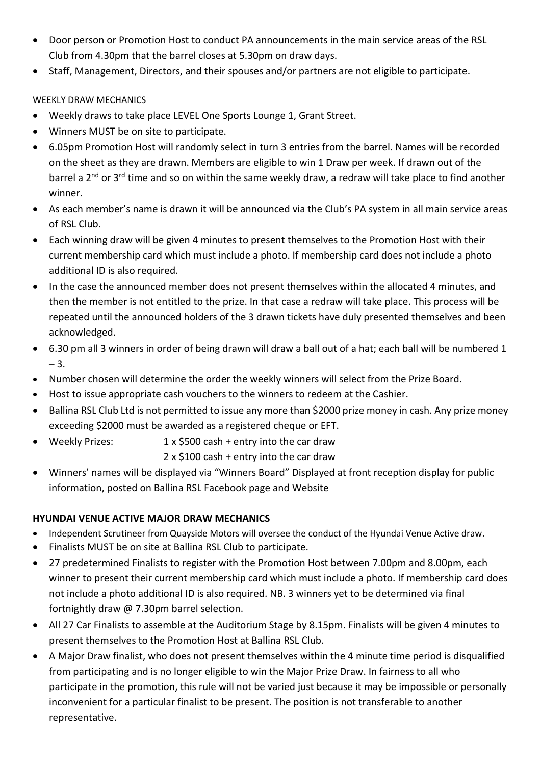- Door person or Promotion Host to conduct PA announcements in the main service areas of the RSL Club from 4.30pm that the barrel closes at 5.30pm on draw days.
- Staff, Management, Directors, and their spouses and/or partners are not eligible to participate.

## WEEKLY DRAW MECHANICS

- Weekly draws to take place LEVEL One Sports Lounge 1, Grant Street.
- Winners MUST be on site to participate.
- 6.05pm Promotion Host will randomly select in turn 3 entries from the barrel. Names will be recorded on the sheet as they are drawn. Members are eligible to win 1 Draw per week. If drawn out of the barrel a 2<sup>nd</sup> or 3<sup>rd</sup> time and so on within the same weekly draw, a redraw will take place to find another winner.
- As each member's name is drawn it will be announced via the Club's PA system in all main service areas of RSL Club.
- Each winning draw will be given 4 minutes to present themselves to the Promotion Host with their current membership card which must include a photo. If membership card does not include a photo additional ID is also required.
- In the case the announced member does not present themselves within the allocated 4 minutes, and then the member is not entitled to the prize. In that case a redraw will take place. This process will be repeated until the announced holders of the 3 drawn tickets have duly presented themselves and been acknowledged.
- 6.30 pm all 3 winners in order of being drawn will draw a ball out of a hat; each ball will be numbered 1  $-3.$
- Number chosen will determine the order the weekly winners will select from the Prize Board.
- Host to issue appropriate cash vouchers to the winners to redeem at the Cashier.
- Ballina RSL Club Ltd is not permitted to issue any more than \$2000 prize money in cash. Any prize money exceeding \$2000 must be awarded as a registered cheque or EFT.
- Weekly Prizes: 1 x \$500 cash + entry into the car draw

2 x \$100 cash + entry into the car draw

• Winners' names will be displayed via "Winners Board" Displayed at front reception display for public information, posted on Ballina RSL Facebook page and Website

## **HYUNDAI VENUE ACTIVE MAJOR DRAW MECHANICS**

- Independent Scrutineer from Quayside Motors will oversee the conduct of the Hyundai Venue Active draw.
- Finalists MUST be on site at Ballina RSL Club to participate.
- 27 predetermined Finalists to register with the Promotion Host between 7.00pm and 8.00pm, each winner to present their current membership card which must include a photo. If membership card does not include a photo additional ID is also required. NB. 3 winners yet to be determined via final fortnightly draw @ 7.30pm barrel selection.
- All 27 Car Finalists to assemble at the Auditorium Stage by 8.15pm. Finalists will be given 4 minutes to present themselves to the Promotion Host at Ballina RSL Club.
- A Major Draw finalist, who does not present themselves within the 4 minute time period is disqualified from participating and is no longer eligible to win the Major Prize Draw. In fairness to all who participate in the promotion, this rule will not be varied just because it may be impossible or personally inconvenient for a particular finalist to be present. The position is not transferable to another representative.